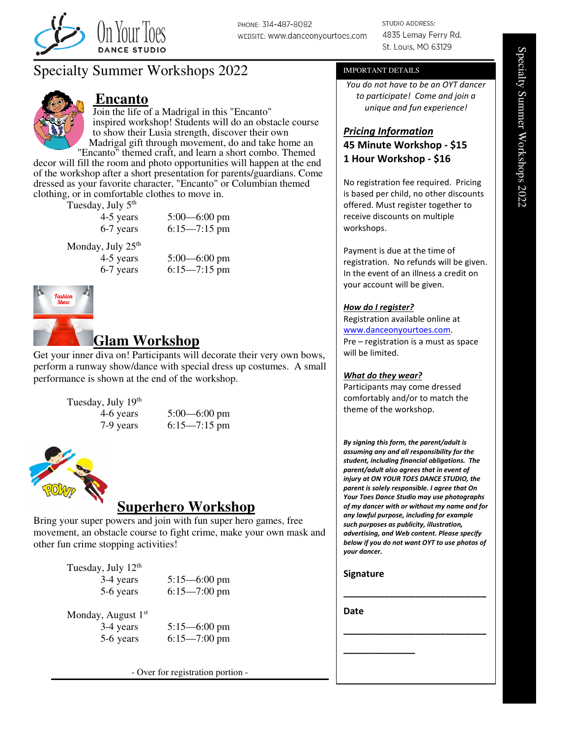

PHONE: 314-487-8082 WEBSITE: www.danceonyourtoes.com **STUDIO ADDRESS:** 4835 Lemay Ferry Rd. St. Louis, MO 63129

# Specialty Summer Workshops 2022



### **Encanto**

Join the life of a Madrigal in this "Encanto" inspired workshop! Students will do an obstacle course to show their Lusia strength, discover their own Madrigal gift through movement, do and take home an

"Encanto" themed craft, and learn a short combo. Themed decor will fill the room and photo opportunities will happen at the end of the workshop after a short presentation for parents/guardians. Come dressed as your favorite character, "Encanto" or Columbian themed clothing, or in comfortable clothes to move in.

Tuesday, July 5th

| 4-5 years                               | $5:00 - 6:00$ pm |
|-----------------------------------------|------------------|
| 6-7 years                               | $6:15 - 7:15$ pm |
| <sup>ondav.</sup> July 25 <sup>th</sup> |                  |

 $M<sub>0</sub>$ 

4-5 years 5:00—6:00 pm 6-7 years 6:15—7:15 pm



## **Glam Workshop**

Get your inner diva on! Participants will decorate their very own bows, perform a runway show/dance with special dress up costumes. A small performance is shown at the end of the workshop.

Tuesday, July 19<sup>th</sup>

4-6 years 5:00—6:00 pm 7-9 years 6:15—7:15 pm



## **Superhero Workshop**

Bring your super powers and join with fun super hero games, free movement, an obstacle course to fight crime, make your own mask and other fun crime stopping activities!

Tuesday, July 12<sup>th</sup>

3-4 years 5:15—6:00 pm 5-6 years 6:15—7:00 pm

Monday, August 1st

3-4 years 5:15—6:00 pm 5-6 years 6:15—7:00 pm

- Over for registration portion -

#### IMPORTANT DETAILS

You do not have to be an OYT dancer to participate! Come and join a unique and fun experience!

### Pricing Information 45 Minute Workshop - \$15 1 Hour Workshop - \$16

No registration fee required. Pricing is based per child, no other discounts offered. Must register together to receive discounts on multiple workshops.

Payment is due at the time of registration. No refunds will be given. In the event of an illness a credit on your account will be given.

#### How do I register?

Registration available online at www.danceonyourtoes.com. Pre – registration is a must as space will be limited.

#### What do they wear?

Participants may come dressed comfortably and/or to match the theme of the workshop.

By signing this form, the parent/adult is assuming any and all responsibility for the student, including financial obligations. The parent/adult also agrees that in event of injury at ON YOUR TOES DANCE STUDIO, the parent is solely responsible. I agree that On Your Toes Dance Studio may use photographs of my dancer with or without my name and for any lawful purpose, including for example such purposes as publicity, illustration, advertising, and Web content. Please specify below if you do not want OYT to use photos of your dancer.

\_\_\_\_\_\_\_\_\_\_\_\_\_\_\_\_\_\_\_\_\_\_\_\_\_\_\_\_

\_\_\_\_\_\_\_\_\_\_\_\_\_\_\_\_\_\_\_\_\_\_\_\_\_\_\_\_

#### **Signature**

\_\_\_\_\_\_\_\_\_\_\_\_\_\_

Date